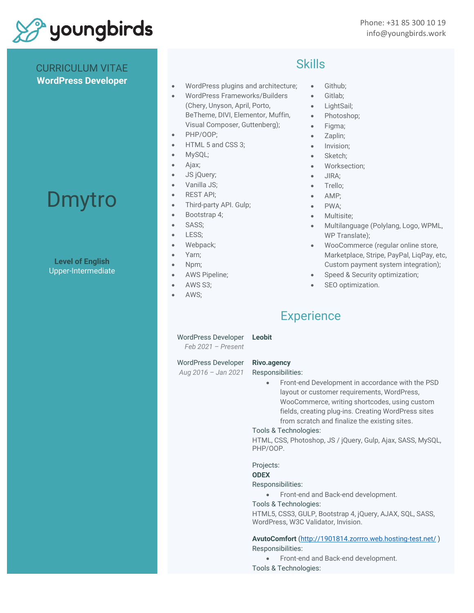

# CURRICULUM VITAE **WordPress Developer**

# Dmytro

# **Level of English** Upper-Intermediate

- WordPress plugins and architecture;
- WordPress Frameworks/Builders (Chery, Unyson, April, Porto, BeTheme, DIVI, Elementor, Muffin, Visual Composer, Guttenberg);
- PHP/OOP;
- HTML 5 and CSS 3;
- MySQL;
- Ajax;
- JS jQuery;
- Vanilla JS;
- REST API;
- Third-party API. Gulp;
- Bootstrap 4;
- SASS;
- LESS;
- Webpack;
- Yarn;
- Npm;
- AWS Pipeline;
- AWS S3;
- AWS:

# Skills

- Github;
- Gitlab;
- LightSail;
- Photoshop;
- Figma;
- Zaplin;
- Invision;
- Sketch;
- Worksection;
- JIRA;
- Trello;
- AMP;
- PWA:
- Multisite;
- Multilanguage (Polylang, Logo, WPML, WP Translate);
- WooCommerce (regular online store, Marketplace, Stripe, PayPal, LiqPay, etc, Custom payment system integration);
- Speed & Security optimization;
- SEO optimization.

# **Experience**

WordPress Developer **Leobit**

*Feb 2021 – Present* 

*Aug 2016 – Jan 2021* 

WordPress Developer

**Rivo.agency** 

Responsibilities:

• Front-end Development in accordance with the PSD layout or customer requirements, WordPress, WooCommerce, writing shortcodes, using custom fields, creating plug-ins. Creating WordPress sites from scratch and finalize the existing sites.

## Tools & Technologies:

HTML, CSS, Photoshop, JS / jQuery, Gulp, Ajax, SASS, MySQL, PHP/OOP.

Projects:

# **ODEX**

## Responsibilities:

• Front-end and Back-end development.

Tools & Technologies:

HTML5, CSS3, GULP, Bootstrap 4, jQuery, AJAX, SQL, SASS, WordPress, W3C Validator, Invision.

# **AvutoComfort** [\(http://1901814.zorrro.web.hosting-test.net/](http://1901814.zorrro.web.hosting-test.net/) ) Responsibilities:

- Front-end and Back-end development.
- Tools & Technologies: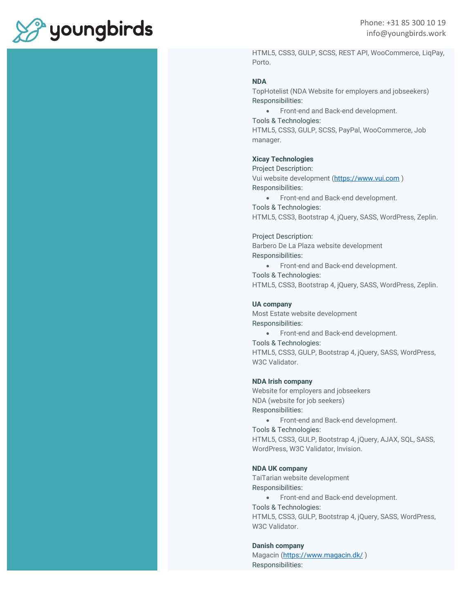

Phone: +31 85 300 10 19 info@youngbirds.work

HTML5, CSS3, GULP, SCSS, REST API, WooCommerce, LiqPay, Porto.

#### **NDA**

TopHotelist (NDA Website for employers and jobseekers) Responsibilities:

• Front-end and Back-end development.

Tools & Technologies:

HTML5, CSS3, GULP, SCSS, PayPal, WooCommerce, Job manager.

# **Xicay Technologies**

Project Description: Vui website development [\(https://www.vui.com](https://www.vui.com/) ) Responsibilities:

• Front-end and Back-end development.

Tools & Technologies:

HTML5, CSS3, Bootstrap 4, jQuery, SASS, WordPress, Zeplin.

#### Project Description:

Barbero De La Plaza website development Responsibilities:

• Front-end and Back-end development.

#### Tools & Technologies:

HTML5, CSS3, Bootstrap 4, jQuery, SASS, WordPress, Zeplin.

#### **UA company**

Most Estate website development Responsibilities:

• Front-end and Back-end development.

#### Tools & Technologies:

HTML5, CSS3, GULP, Bootstrap 4, jQuery, SASS, WordPress, W3C Validator.

#### **NDA Irish company**

Website for employers and jobseekers NDA (website for job seekers) Responsibilities:

- Front-end and Back-end development.
- Tools & Technologies:

HTML5, CSS3, GULP, Bootstrap 4, jQuery, AJAX, SQL, SASS, WordPress, W3C Validator, Invision.

#### **NDA UK company**

TaiTarian website development Responsibilities:

• Front-end and Back-end development.

Tools & Technologies:

HTML5, CSS3, GULP, Bootstrap 4, jQuery, SASS, WordPress, W3C Validator.

#### **Danish company**

Magacin [\(https://www.magacin.dk/](https://www.magacin.dk/) ) Responsibilities: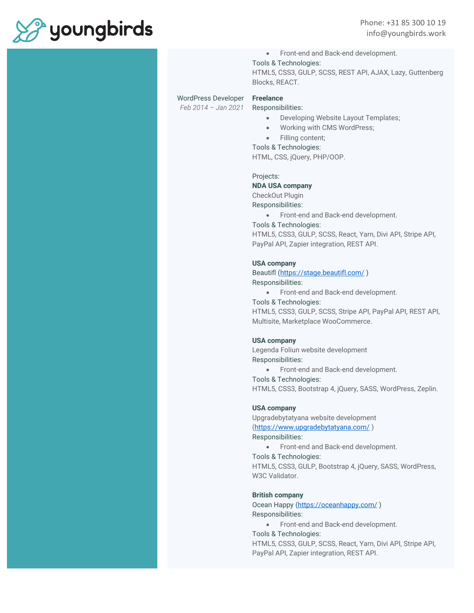

• Front-end and Back-end development.

Tools & Technologies:

HTML5, CSS3, GULP, SCSS, REST API, AJAX, Lazy, Guttenberg Blocks, REACT.

#### WordPress Developer

*Feb 2014 – Jan 2021*

**Freelance** Responsibilities:

- Developing Website Layout Templates;
- Working with CMS WordPress;
- Filling content;
- Tools & Technologies:

HTML, CSS, jQuery, PHP/OOP.

Projects:

#### **NDA USA company**

CheckOut Plugin

Responsibilities:

- Front-end and Back-end development.
- Tools & Technologies:

HTML5, CSS3, GULP, SCSS, React, Yarn, Divi API, Stripe API, PayPal API, Zapier integration, REST API.

#### **USA company**

Beautifl [\(https://stage.beautifl.com/](https://stage.beautifl.com/) ) Responsibilities:

- Front-end and Back-end development.
- Tools & Technologies:

HTML5, CSS3, GULP, SCSS, Stripe API, PayPal API, REST API, Multisite, Marketplace WooCommerce.

#### **USA company**

Legenda Foliun website development Responsibilities:

• Front-end and Back-end development.

Tools & Technologies:

HTML5, CSS3, Bootstrap 4, jQuery, SASS, WordPress, Zeplin.

#### **USA company**

Upgradebytatyana website development [\(https://www.upgradebytatyana.com/](https://www.upgradebytatyana.com/) )

Responsibilities:

• Front-end and Back-end development.

Tools & Technologies: HTML5, CSS3, GULP, Bootstrap 4, jQuery, SASS, WordPress, W3C Validator.

#### **British company**

Ocean Happy [\(https://oceanhappy.com/](https://oceanhappy.com/) ) Responsibilities:

• Front-end and Back-end development.

Tools & Technologies:

HTML5, CSS3, GULP, SCSS, React, Yarn, Divi API, Stripe API, PayPal API, Zapier integration, REST API.